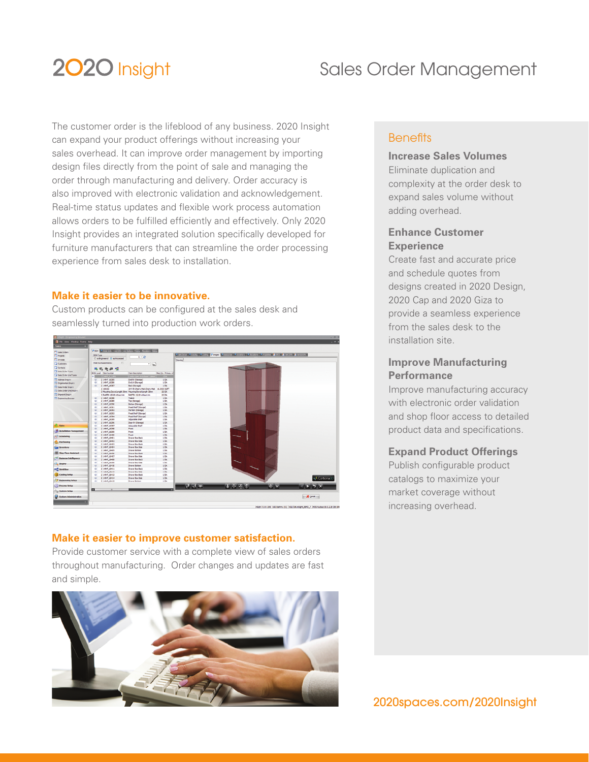# 2020 Insight

# Sales Order Management

The customer order is the lifeblood of any business. 2020 Insight can expand your product offerings without increasing your sales overhead. It can improve order management by importing design files directly from the point of sale and managing the order through manufacturing and delivery. Order accuracy is also improved with electronic validation and acknowledgement. Real-time status updates and flexible work process automation allows orders to be fulfilled efficiently and effectively. Only 2020 Insight provides an integrated solution specifically developed for furniture manufacturers that can streamline the order processing experience from sales desk to installation.

## **Make it easier to be innovative.**

Custom products can be configured at the sales desk and seamlessly turned into production work orders.



## **Make it easier to improve customer satisfaction.**

Provide customer service with a complete view of sales orders throughout manufacturing. Order changes and updates are fast and simple.



## **Benefits**

## **Increase Sales Volumes**

Eliminate duplication and complexity at the order desk to expand sales volume without adding overhead.

## **Enhance Customer Experience**

Create fast and accurate price and schedule quotes from designs created in 2020 Design, 2020 Cap and 2020 Giza to provide a seamless experience from the sales desk to the installation site.

## **Improve Manufacturing Performance**

Improve manufacturing accuracy with electronic order validation and shop floor access to detailed product data and specifications.

## **Expand Product Offerings**

Publish configurable product catalogs to maximize your market coverage without increasing overhead.